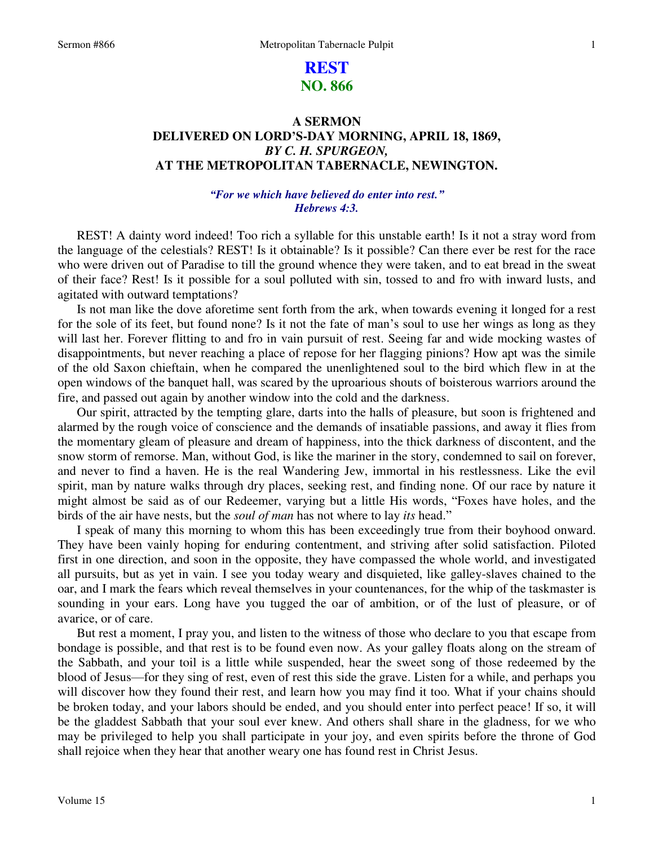# **REST NO. 866**

## **A SERMON DELIVERED ON LORD'S-DAY MORNING, APRIL 18, 1869,**  *BY C. H. SPURGEON,*  **AT THE METROPOLITAN TABERNACLE, NEWINGTON.**

### *"For we which have believed do enter into rest." Hebrews 4:3.*

 REST! A dainty word indeed! Too rich a syllable for this unstable earth! Is it not a stray word from the language of the celestials? REST! Is it obtainable? Is it possible? Can there ever be rest for the race who were driven out of Paradise to till the ground whence they were taken, and to eat bread in the sweat of their face? Rest! Is it possible for a soul polluted with sin, tossed to and fro with inward lusts, and agitated with outward temptations?

 Is not man like the dove aforetime sent forth from the ark, when towards evening it longed for a rest for the sole of its feet, but found none? Is it not the fate of man's soul to use her wings as long as they will last her. Forever flitting to and fro in vain pursuit of rest. Seeing far and wide mocking wastes of disappointments, but never reaching a place of repose for her flagging pinions? How apt was the simile of the old Saxon chieftain, when he compared the unenlightened soul to the bird which flew in at the open windows of the banquet hall, was scared by the uproarious shouts of boisterous warriors around the fire, and passed out again by another window into the cold and the darkness.

 Our spirit, attracted by the tempting glare, darts into the halls of pleasure, but soon is frightened and alarmed by the rough voice of conscience and the demands of insatiable passions, and away it flies from the momentary gleam of pleasure and dream of happiness, into the thick darkness of discontent, and the snow storm of remorse. Man, without God, is like the mariner in the story, condemned to sail on forever, and never to find a haven. He is the real Wandering Jew, immortal in his restlessness. Like the evil spirit, man by nature walks through dry places, seeking rest, and finding none. Of our race by nature it might almost be said as of our Redeemer, varying but a little His words, "Foxes have holes, and the birds of the air have nests, but the *soul of man* has not where to lay *its* head."

 I speak of many this morning to whom this has been exceedingly true from their boyhood onward. They have been vainly hoping for enduring contentment, and striving after solid satisfaction. Piloted first in one direction, and soon in the opposite, they have compassed the whole world, and investigated all pursuits, but as yet in vain. I see you today weary and disquieted, like galley-slaves chained to the oar, and I mark the fears which reveal themselves in your countenances, for the whip of the taskmaster is sounding in your ears. Long have you tugged the oar of ambition, or of the lust of pleasure, or of avarice, or of care.

 But rest a moment, I pray you, and listen to the witness of those who declare to you that escape from bondage is possible, and that rest is to be found even now. As your galley floats along on the stream of the Sabbath, and your toil is a little while suspended, hear the sweet song of those redeemed by the blood of Jesus—for they sing of rest, even of rest this side the grave. Listen for a while, and perhaps you will discover how they found their rest, and learn how you may find it too. What if your chains should be broken today, and your labors should be ended, and you should enter into perfect peace! If so, it will be the gladdest Sabbath that your soul ever knew. And others shall share in the gladness, for we who may be privileged to help you shall participate in your joy, and even spirits before the throne of God shall rejoice when they hear that another weary one has found rest in Christ Jesus.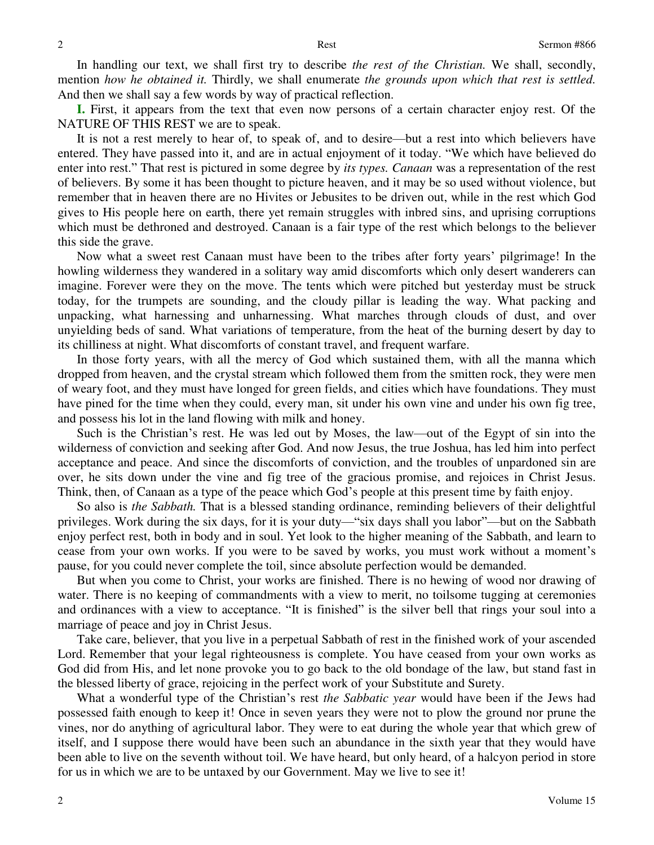In handling our text, we shall first try to describe *the rest of the Christian.* We shall, secondly, mention *how he obtained it.* Thirdly, we shall enumerate *the grounds upon which that rest is settled.*  And then we shall say a few words by way of practical reflection.

**I.** First, it appears from the text that even now persons of a certain character enjoy rest. Of the NATURE OF THIS REST we are to speak.

 It is not a rest merely to hear of, to speak of, and to desire—but a rest into which believers have entered. They have passed into it, and are in actual enjoyment of it today. "We which have believed do enter into rest." That rest is pictured in some degree by *its types. Canaan* was a representation of the rest of believers. By some it has been thought to picture heaven, and it may be so used without violence, but remember that in heaven there are no Hivites or Jebusites to be driven out, while in the rest which God gives to His people here on earth, there yet remain struggles with inbred sins, and uprising corruptions which must be dethroned and destroyed. Canaan is a fair type of the rest which belongs to the believer this side the grave.

 Now what a sweet rest Canaan must have been to the tribes after forty years' pilgrimage! In the howling wilderness they wandered in a solitary way amid discomforts which only desert wanderers can imagine. Forever were they on the move. The tents which were pitched but yesterday must be struck today, for the trumpets are sounding, and the cloudy pillar is leading the way. What packing and unpacking, what harnessing and unharnessing. What marches through clouds of dust, and over unyielding beds of sand. What variations of temperature, from the heat of the burning desert by day to its chilliness at night. What discomforts of constant travel, and frequent warfare.

 In those forty years, with all the mercy of God which sustained them, with all the manna which dropped from heaven, and the crystal stream which followed them from the smitten rock, they were men of weary foot, and they must have longed for green fields, and cities which have foundations. They must have pined for the time when they could, every man, sit under his own vine and under his own fig tree, and possess his lot in the land flowing with milk and honey.

 Such is the Christian's rest. He was led out by Moses, the law—out of the Egypt of sin into the wilderness of conviction and seeking after God. And now Jesus, the true Joshua, has led him into perfect acceptance and peace. And since the discomforts of conviction, and the troubles of unpardoned sin are over, he sits down under the vine and fig tree of the gracious promise, and rejoices in Christ Jesus. Think, then, of Canaan as a type of the peace which God's people at this present time by faith enjoy.

 So also is *the Sabbath.* That is a blessed standing ordinance, reminding believers of their delightful privileges. Work during the six days, for it is your duty—"six days shall you labor"—but on the Sabbath enjoy perfect rest, both in body and in soul. Yet look to the higher meaning of the Sabbath, and learn to cease from your own works. If you were to be saved by works, you must work without a moment's pause, for you could never complete the toil, since absolute perfection would be demanded.

 But when you come to Christ, your works are finished. There is no hewing of wood nor drawing of water. There is no keeping of commandments with a view to merit, no toilsome tugging at ceremonies and ordinances with a view to acceptance. "It is finished" is the silver bell that rings your soul into a marriage of peace and joy in Christ Jesus.

 Take care, believer, that you live in a perpetual Sabbath of rest in the finished work of your ascended Lord. Remember that your legal righteousness is complete. You have ceased from your own works as God did from His, and let none provoke you to go back to the old bondage of the law, but stand fast in the blessed liberty of grace, rejoicing in the perfect work of your Substitute and Surety.

 What a wonderful type of the Christian's rest *the Sabbatic year* would have been if the Jews had possessed faith enough to keep it! Once in seven years they were not to plow the ground nor prune the vines, nor do anything of agricultural labor. They were to eat during the whole year that which grew of itself, and I suppose there would have been such an abundance in the sixth year that they would have been able to live on the seventh without toil. We have heard, but only heard, of a halcyon period in store for us in which we are to be untaxed by our Government. May we live to see it!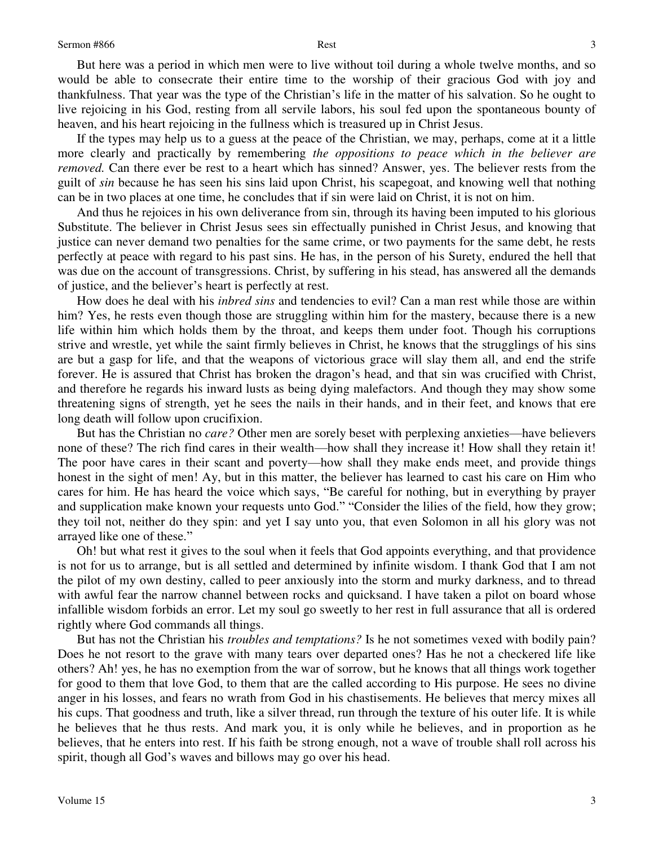If the types may help us to a guess at the peace of the Christian, we may, perhaps, come at it a little more clearly and practically by remembering *the oppositions to peace which in the believer are removed.* Can there ever be rest to a heart which has sinned? Answer, yes. The believer rests from the guilt of *sin* because he has seen his sins laid upon Christ, his scapegoat, and knowing well that nothing can be in two places at one time, he concludes that if sin were laid on Christ, it is not on him.

 And thus he rejoices in his own deliverance from sin, through its having been imputed to his glorious Substitute. The believer in Christ Jesus sees sin effectually punished in Christ Jesus, and knowing that justice can never demand two penalties for the same crime, or two payments for the same debt, he rests perfectly at peace with regard to his past sins. He has, in the person of his Surety, endured the hell that was due on the account of transgressions. Christ, by suffering in his stead, has answered all the demands of justice, and the believer's heart is perfectly at rest.

 How does he deal with his *inbred sins* and tendencies to evil? Can a man rest while those are within him? Yes, he rests even though those are struggling within him for the mastery, because there is a new life within him which holds them by the throat, and keeps them under foot. Though his corruptions strive and wrestle, yet while the saint firmly believes in Christ, he knows that the strugglings of his sins are but a gasp for life, and that the weapons of victorious grace will slay them all, and end the strife forever. He is assured that Christ has broken the dragon's head, and that sin was crucified with Christ, and therefore he regards his inward lusts as being dying malefactors. And though they may show some threatening signs of strength, yet he sees the nails in their hands, and in their feet, and knows that ere long death will follow upon crucifixion.

 But has the Christian no *care?* Other men are sorely beset with perplexing anxieties—have believers none of these? The rich find cares in their wealth—how shall they increase it! How shall they retain it! The poor have cares in their scant and poverty—how shall they make ends meet, and provide things honest in the sight of men! Ay, but in this matter, the believer has learned to cast his care on Him who cares for him. He has heard the voice which says, "Be careful for nothing, but in everything by prayer and supplication make known your requests unto God." "Consider the lilies of the field, how they grow; they toil not, neither do they spin: and yet I say unto you, that even Solomon in all his glory was not arrayed like one of these."

Oh! but what rest it gives to the soul when it feels that God appoints everything, and that providence is not for us to arrange, but is all settled and determined by infinite wisdom. I thank God that I am not the pilot of my own destiny, called to peer anxiously into the storm and murky darkness, and to thread with awful fear the narrow channel between rocks and quicksand. I have taken a pilot on board whose infallible wisdom forbids an error. Let my soul go sweetly to her rest in full assurance that all is ordered rightly where God commands all things.

 But has not the Christian his *troubles and temptations?* Is he not sometimes vexed with bodily pain? Does he not resort to the grave with many tears over departed ones? Has he not a checkered life like others? Ah! yes, he has no exemption from the war of sorrow, but he knows that all things work together for good to them that love God, to them that are the called according to His purpose. He sees no divine anger in his losses, and fears no wrath from God in his chastisements. He believes that mercy mixes all his cups. That goodness and truth, like a silver thread, run through the texture of his outer life. It is while he believes that he thus rests. And mark you, it is only while he believes, and in proportion as he believes, that he enters into rest. If his faith be strong enough, not a wave of trouble shall roll across his spirit, though all God's waves and billows may go over his head.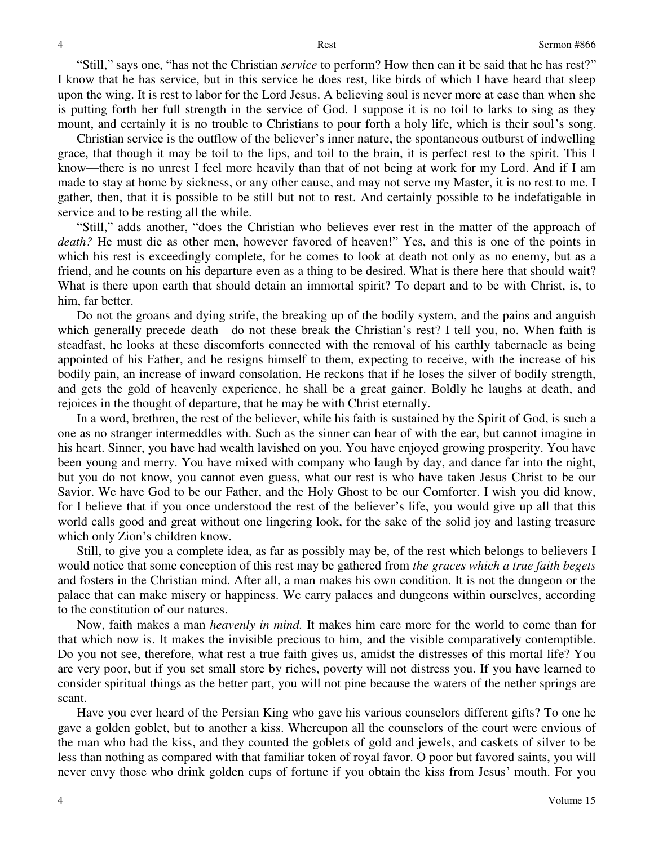"Still," says one, "has not the Christian *service* to perform? How then can it be said that he has rest?" I know that he has service, but in this service he does rest, like birds of which I have heard that sleep upon the wing. It is rest to labor for the Lord Jesus. A believing soul is never more at ease than when she is putting forth her full strength in the service of God. I suppose it is no toil to larks to sing as they mount, and certainly it is no trouble to Christians to pour forth a holy life, which is their soul's song.

 Christian service is the outflow of the believer's inner nature, the spontaneous outburst of indwelling grace, that though it may be toil to the lips, and toil to the brain, it is perfect rest to the spirit. This I know—there is no unrest I feel more heavily than that of not being at work for my Lord. And if I am made to stay at home by sickness, or any other cause, and may not serve my Master, it is no rest to me. I gather, then, that it is possible to be still but not to rest. And certainly possible to be indefatigable in service and to be resting all the while.

"Still," adds another, "does the Christian who believes ever rest in the matter of the approach of death? He must die as other men, however favored of heaven!" Yes, and this is one of the points in which his rest is exceedingly complete, for he comes to look at death not only as no enemy, but as a friend, and he counts on his departure even as a thing to be desired. What is there here that should wait? What is there upon earth that should detain an immortal spirit? To depart and to be with Christ, is, to him, far better.

 Do not the groans and dying strife, the breaking up of the bodily system, and the pains and anguish which generally precede death—do not these break the Christian's rest? I tell you, no. When faith is steadfast, he looks at these discomforts connected with the removal of his earthly tabernacle as being appointed of his Father, and he resigns himself to them, expecting to receive, with the increase of his bodily pain, an increase of inward consolation. He reckons that if he loses the silver of bodily strength, and gets the gold of heavenly experience, he shall be a great gainer. Boldly he laughs at death, and rejoices in the thought of departure, that he may be with Christ eternally.

 In a word, brethren, the rest of the believer, while his faith is sustained by the Spirit of God, is such a one as no stranger intermeddles with. Such as the sinner can hear of with the ear, but cannot imagine in his heart. Sinner, you have had wealth lavished on you. You have enjoyed growing prosperity. You have been young and merry. You have mixed with company who laugh by day, and dance far into the night, but you do not know, you cannot even guess, what our rest is who have taken Jesus Christ to be our Savior. We have God to be our Father, and the Holy Ghost to be our Comforter. I wish you did know, for I believe that if you once understood the rest of the believer's life, you would give up all that this world calls good and great without one lingering look, for the sake of the solid joy and lasting treasure which only Zion's children know.

 Still, to give you a complete idea, as far as possibly may be, of the rest which belongs to believers I would notice that some conception of this rest may be gathered from *the graces which a true faith begets*  and fosters in the Christian mind. After all, a man makes his own condition. It is not the dungeon or the palace that can make misery or happiness. We carry palaces and dungeons within ourselves, according to the constitution of our natures.

 Now, faith makes a man *heavenly in mind.* It makes him care more for the world to come than for that which now is. It makes the invisible precious to him, and the visible comparatively contemptible. Do you not see, therefore, what rest a true faith gives us, amidst the distresses of this mortal life? You are very poor, but if you set small store by riches, poverty will not distress you. If you have learned to consider spiritual things as the better part, you will not pine because the waters of the nether springs are scant.

 Have you ever heard of the Persian King who gave his various counselors different gifts? To one he gave a golden goblet, but to another a kiss. Whereupon all the counselors of the court were envious of the man who had the kiss, and they counted the goblets of gold and jewels, and caskets of silver to be less than nothing as compared with that familiar token of royal favor. O poor but favored saints, you will never envy those who drink golden cups of fortune if you obtain the kiss from Jesus' mouth. For you

4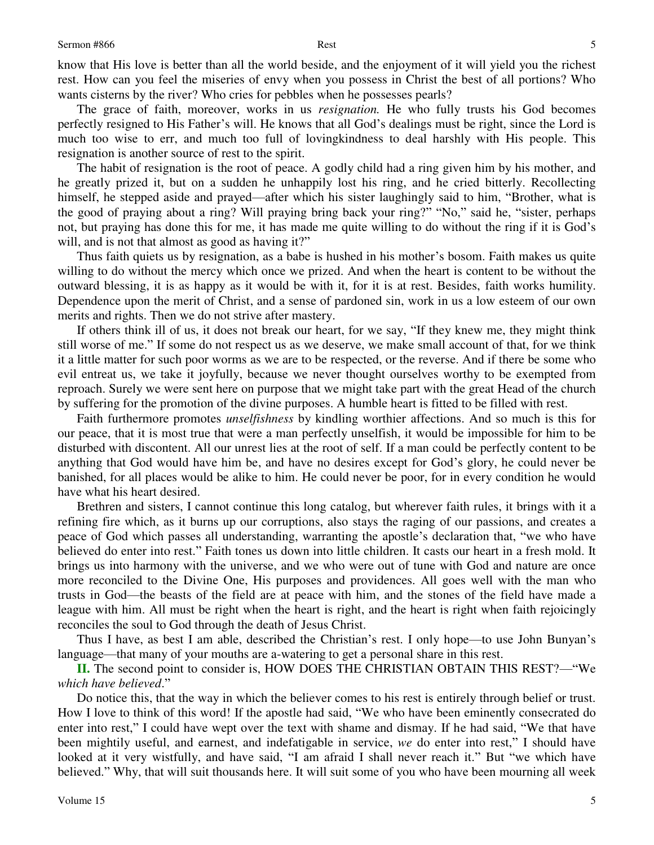know that His love is better than all the world beside, and the enjoyment of it will yield you the richest rest. How can you feel the miseries of envy when you possess in Christ the best of all portions? Who wants cisterns by the river? Who cries for pebbles when he possesses pearls?

 The grace of faith, moreover, works in us *resignation.* He who fully trusts his God becomes perfectly resigned to His Father's will. He knows that all God's dealings must be right, since the Lord is much too wise to err, and much too full of lovingkindness to deal harshly with His people. This resignation is another source of rest to the spirit.

 The habit of resignation is the root of peace. A godly child had a ring given him by his mother, and he greatly prized it, but on a sudden he unhappily lost his ring, and he cried bitterly. Recollecting himself, he stepped aside and prayed—after which his sister laughingly said to him, "Brother, what is the good of praying about a ring? Will praying bring back your ring?" "No," said he, "sister, perhaps not, but praying has done this for me, it has made me quite willing to do without the ring if it is God's will, and is not that almost as good as having it?"

 Thus faith quiets us by resignation, as a babe is hushed in his mother's bosom. Faith makes us quite willing to do without the mercy which once we prized. And when the heart is content to be without the outward blessing, it is as happy as it would be with it, for it is at rest. Besides, faith works humility. Dependence upon the merit of Christ, and a sense of pardoned sin, work in us a low esteem of our own merits and rights. Then we do not strive after mastery.

 If others think ill of us, it does not break our heart, for we say, "If they knew me, they might think still worse of me." If some do not respect us as we deserve, we make small account of that, for we think it a little matter for such poor worms as we are to be respected, or the reverse. And if there be some who evil entreat us, we take it joyfully, because we never thought ourselves worthy to be exempted from reproach. Surely we were sent here on purpose that we might take part with the great Head of the church by suffering for the promotion of the divine purposes. A humble heart is fitted to be filled with rest.

 Faith furthermore promotes *unselfishness* by kindling worthier affections. And so much is this for our peace, that it is most true that were a man perfectly unselfish, it would be impossible for him to be disturbed with discontent. All our unrest lies at the root of self. If a man could be perfectly content to be anything that God would have him be, and have no desires except for God's glory, he could never be banished, for all places would be alike to him. He could never be poor, for in every condition he would have what his heart desired.

Brethren and sisters, I cannot continue this long catalog, but wherever faith rules, it brings with it a refining fire which, as it burns up our corruptions, also stays the raging of our passions, and creates a peace of God which passes all understanding, warranting the apostle's declaration that, "we who have believed do enter into rest." Faith tones us down into little children. It casts our heart in a fresh mold. It brings us into harmony with the universe, and we who were out of tune with God and nature are once more reconciled to the Divine One, His purposes and providences. All goes well with the man who trusts in God—the beasts of the field are at peace with him, and the stones of the field have made a league with him. All must be right when the heart is right, and the heart is right when faith rejoicingly reconciles the soul to God through the death of Jesus Christ.

 Thus I have, as best I am able, described the Christian's rest. I only hope—to use John Bunyan's language—that many of your mouths are a-watering to get a personal share in this rest.

**II.** The second point to consider is, HOW DOES THE CHRISTIAN OBTAIN THIS REST?—"We *which have believed*."

 Do notice this, that the way in which the believer comes to his rest is entirely through belief or trust. How I love to think of this word! If the apostle had said, "We who have been eminently consecrated do enter into rest," I could have wept over the text with shame and dismay. If he had said, "We that have been mightily useful, and earnest, and indefatigable in service, *we* do enter into rest," I should have looked at it very wistfully, and have said, "I am afraid I shall never reach it." But "we which have believed." Why, that will suit thousands here. It will suit some of you who have been mourning all week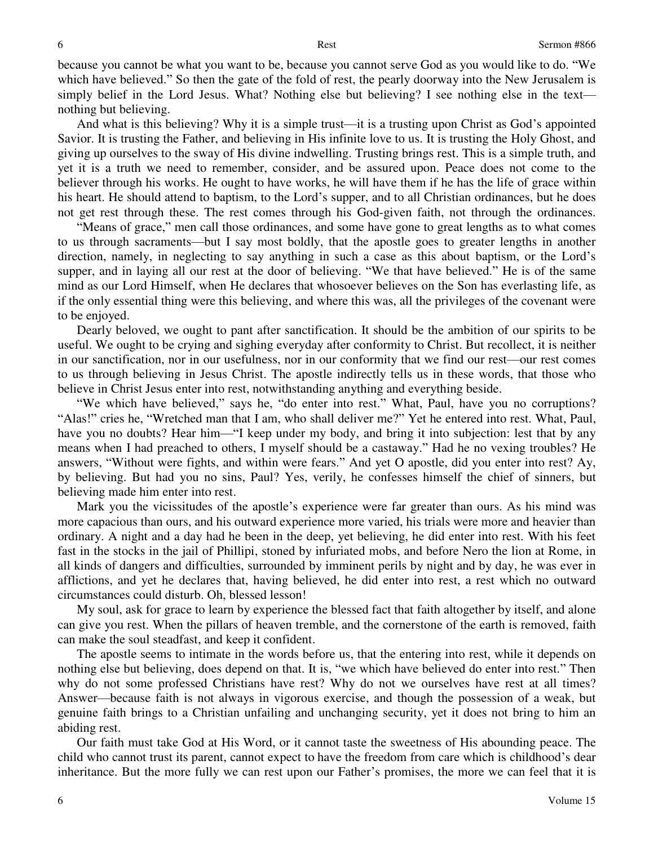because you cannot be what you want to be, because you cannot serve God as you would like to do. "We which have believed." So then the gate of the fold of rest, the pearly doorway into the New Jerusalem is simply belief in the Lord Jesus. What? Nothing else but believing? I see nothing else in the text nothing but believing.

 And what is this believing? Why it is a simple trust—it is a trusting upon Christ as God's appointed Savior. It is trusting the Father, and believing in His infinite love to us. It is trusting the Holy Ghost, and giving up ourselves to the sway of His divine indwelling. Trusting brings rest. This is a simple truth, and yet it is a truth we need to remember, consider, and be assured upon. Peace does not come to the believer through his works. He ought to have works, he will have them if he has the life of grace within his heart. He should attend to baptism, to the Lord's supper, and to all Christian ordinances, but he does not get rest through these. The rest comes through his God-given faith, not through the ordinances.

"Means of grace," men call those ordinances, and some have gone to great lengths as to what comes to us through sacraments—but I say most boldly, that the apostle goes to greater lengths in another direction, namely, in neglecting to say anything in such a case as this about baptism, or the Lord's supper, and in laying all our rest at the door of believing. "We that have believed." He is of the same mind as our Lord Himself, when He declares that whosoever believes on the Son has everlasting life, as if the only essential thing were this believing, and where this was, all the privileges of the covenant were to be enjoyed.

 Dearly beloved, we ought to pant after sanctification. It should be the ambition of our spirits to be useful. We ought to be crying and sighing everyday after conformity to Christ. But recollect, it is neither in our sanctification, nor in our usefulness, nor in our conformity that we find our rest—our rest comes to us through believing in Jesus Christ. The apostle indirectly tells us in these words, that those who believe in Christ Jesus enter into rest, notwithstanding anything and everything beside.

"We which have believed," says he, "do enter into rest." What, Paul, have you no corruptions? "Alas!" cries he, "Wretched man that I am, who shall deliver me?" Yet he entered into rest. What, Paul, have you no doubts? Hear him—"I keep under my body, and bring it into subjection: lest that by any means when I had preached to others, I myself should be a castaway." Had he no vexing troubles? He answers, "Without were fights, and within were fears." And yet O apostle, did you enter into rest? Ay, by believing. But had you no sins, Paul? Yes, verily, he confesses himself the chief of sinners, but believing made him enter into rest.

 Mark you the vicissitudes of the apostle's experience were far greater than ours. As his mind was more capacious than ours, and his outward experience more varied, his trials were more and heavier than ordinary. A night and a day had he been in the deep, yet believing, he did enter into rest. With his feet fast in the stocks in the jail of Phillipi, stoned by infuriated mobs, and before Nero the lion at Rome, in all kinds of dangers and difficulties, surrounded by imminent perils by night and by day, he was ever in afflictions, and yet he declares that, having believed, he did enter into rest, a rest which no outward circumstances could disturb. Oh, blessed lesson!

 My soul, ask for grace to learn by experience the blessed fact that faith altogether by itself, and alone can give you rest. When the pillars of heaven tremble, and the cornerstone of the earth is removed, faith can make the soul steadfast, and keep it confident.

 The apostle seems to intimate in the words before us, that the entering into rest, while it depends on nothing else but believing, does depend on that. It is, "we which have believed do enter into rest." Then why do not some professed Christians have rest? Why do not we ourselves have rest at all times? Answer—because faith is not always in vigorous exercise, and though the possession of a weak, but genuine faith brings to a Christian unfailing and unchanging security, yet it does not bring to him an abiding rest.

 Our faith must take God at His Word, or it cannot taste the sweetness of His abounding peace. The child who cannot trust its parent, cannot expect to have the freedom from care which is childhood's dear inheritance. But the more fully we can rest upon our Father's promises, the more we can feel that it is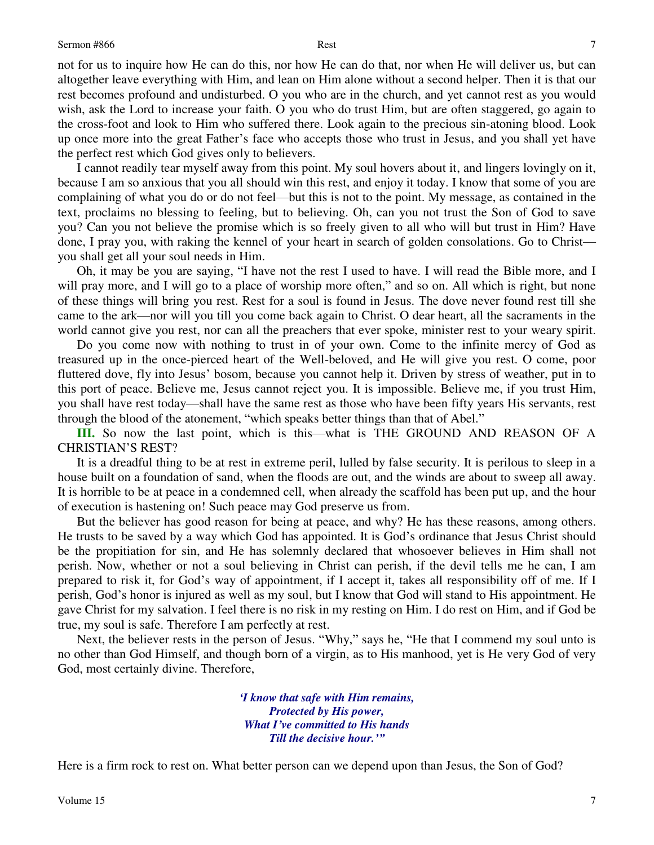not for us to inquire how He can do this, nor how He can do that, nor when He will deliver us, but can altogether leave everything with Him, and lean on Him alone without a second helper. Then it is that our rest becomes profound and undisturbed. O you who are in the church, and yet cannot rest as you would wish, ask the Lord to increase your faith. O you who do trust Him, but are often staggered, go again to the cross-foot and look to Him who suffered there. Look again to the precious sin-atoning blood. Look up once more into the great Father's face who accepts those who trust in Jesus, and you shall yet have the perfect rest which God gives only to believers.

 I cannot readily tear myself away from this point. My soul hovers about it, and lingers lovingly on it, because I am so anxious that you all should win this rest, and enjoy it today. I know that some of you are complaining of what you do or do not feel—but this is not to the point. My message, as contained in the text, proclaims no blessing to feeling, but to believing. Oh, can you not trust the Son of God to save you? Can you not believe the promise which is so freely given to all who will but trust in Him? Have done, I pray you, with raking the kennel of your heart in search of golden consolations. Go to Christ you shall get all your soul needs in Him.

 Oh, it may be you are saying, "I have not the rest I used to have. I will read the Bible more, and I will pray more, and I will go to a place of worship more often," and so on. All which is right, but none of these things will bring you rest. Rest for a soul is found in Jesus. The dove never found rest till she came to the ark—nor will you till you come back again to Christ. O dear heart, all the sacraments in the world cannot give you rest, nor can all the preachers that ever spoke, minister rest to your weary spirit.

 Do you come now with nothing to trust in of your own. Come to the infinite mercy of God as treasured up in the once-pierced heart of the Well-beloved, and He will give you rest. O come, poor fluttered dove, fly into Jesus' bosom, because you cannot help it. Driven by stress of weather, put in to this port of peace. Believe me, Jesus cannot reject you. It is impossible. Believe me, if you trust Him, you shall have rest today—shall have the same rest as those who have been fifty years His servants, rest through the blood of the atonement, "which speaks better things than that of Abel."

**III.** So now the last point, which is this—what is THE GROUND AND REASON OF A CHRISTIAN'S REST?

 It is a dreadful thing to be at rest in extreme peril, lulled by false security. It is perilous to sleep in a house built on a foundation of sand, when the floods are out, and the winds are about to sweep all away. It is horrible to be at peace in a condemned cell, when already the scaffold has been put up, and the hour of execution is hastening on! Such peace may God preserve us from.

 But the believer has good reason for being at peace, and why? He has these reasons, among others. He trusts to be saved by a way which God has appointed. It is God's ordinance that Jesus Christ should be the propitiation for sin, and He has solemnly declared that whosoever believes in Him shall not perish. Now, whether or not a soul believing in Christ can perish, if the devil tells me he can, I am prepared to risk it, for God's way of appointment, if I accept it, takes all responsibility off of me. If I perish, God's honor is injured as well as my soul, but I know that God will stand to His appointment. He gave Christ for my salvation. I feel there is no risk in my resting on Him. I do rest on Him, and if God be true, my soul is safe. Therefore I am perfectly at rest.

 Next, the believer rests in the person of Jesus. "Why," says he, "He that I commend my soul unto is no other than God Himself, and though born of a virgin, as to His manhood, yet is He very God of very God, most certainly divine. Therefore,

> *'I know that safe with Him remains, Protected by His power, What I've committed to His hands Till the decisive hour.'"*

Here is a firm rock to rest on. What better person can we depend upon than Jesus, the Son of God?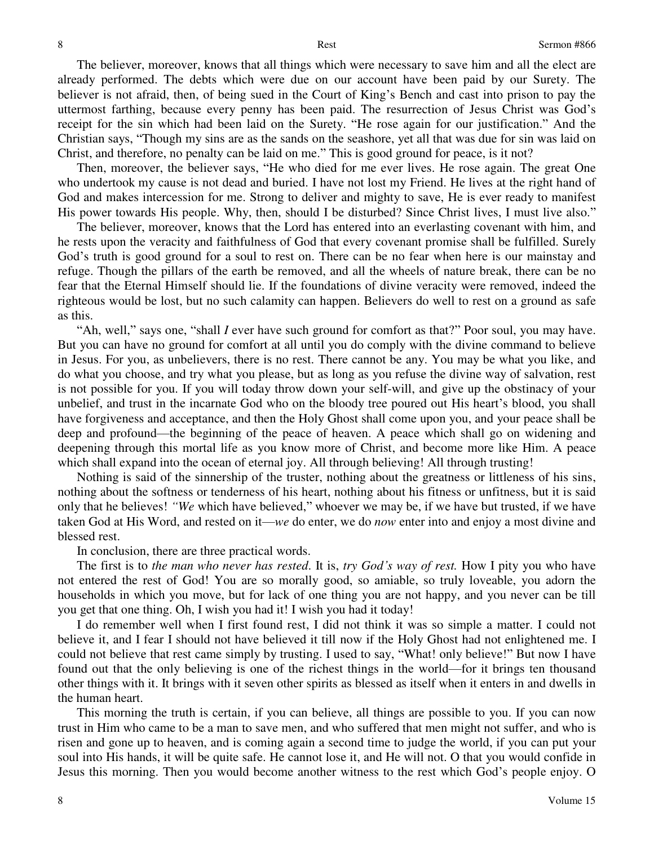The believer, moreover, knows that all things which were necessary to save him and all the elect are already performed. The debts which were due on our account have been paid by our Surety. The believer is not afraid, then, of being sued in the Court of King's Bench and cast into prison to pay the uttermost farthing, because every penny has been paid. The resurrection of Jesus Christ was God's receipt for the sin which had been laid on the Surety. "He rose again for our justification." And the Christian says, "Though my sins are as the sands on the seashore, yet all that was due for sin was laid on Christ, and therefore, no penalty can be laid on me." This is good ground for peace, is it not?

 Then, moreover, the believer says, "He who died for me ever lives. He rose again. The great One who undertook my cause is not dead and buried. I have not lost my Friend. He lives at the right hand of God and makes intercession for me. Strong to deliver and mighty to save, He is ever ready to manifest His power towards His people. Why, then, should I be disturbed? Since Christ lives, I must live also."

 The believer, moreover, knows that the Lord has entered into an everlasting covenant with him, and he rests upon the veracity and faithfulness of God that every covenant promise shall be fulfilled. Surely God's truth is good ground for a soul to rest on. There can be no fear when here is our mainstay and refuge. Though the pillars of the earth be removed, and all the wheels of nature break, there can be no fear that the Eternal Himself should lie. If the foundations of divine veracity were removed, indeed the righteous would be lost, but no such calamity can happen. Believers do well to rest on a ground as safe as this.

"Ah, well," says one, "shall *I* ever have such ground for comfort as that?" Poor soul, you may have. But you can have no ground for comfort at all until you do comply with the divine command to believe in Jesus. For you, as unbelievers, there is no rest. There cannot be any. You may be what you like, and do what you choose, and try what you please, but as long as you refuse the divine way of salvation, rest is not possible for you. If you will today throw down your self-will, and give up the obstinacy of your unbelief, and trust in the incarnate God who on the bloody tree poured out His heart's blood, you shall have forgiveness and acceptance, and then the Holy Ghost shall come upon you, and your peace shall be deep and profound—the beginning of the peace of heaven. A peace which shall go on widening and deepening through this mortal life as you know more of Christ, and become more like Him. A peace which shall expand into the ocean of eternal joy. All through believing! All through trusting!

 Nothing is said of the sinnership of the truster, nothing about the greatness or littleness of his sins, nothing about the softness or tenderness of his heart, nothing about his fitness or unfitness, but it is said only that he believes! *"We* which have believed," whoever we may be, if we have but trusted, if we have taken God at His Word, and rested on it—*we* do enter, we do *now* enter into and enjoy a most divine and blessed rest.

In conclusion, there are three practical words.

 The first is to *the man who never has rested*. It is, *try God's way of rest.* How I pity you who have not entered the rest of God! You are so morally good, so amiable, so truly loveable, you adorn the households in which you move, but for lack of one thing you are not happy, and you never can be till you get that one thing. Oh, I wish you had it! I wish you had it today!

 I do remember well when I first found rest, I did not think it was so simple a matter. I could not believe it, and I fear I should not have believed it till now if the Holy Ghost had not enlightened me. I could not believe that rest came simply by trusting. I used to say, "What! only believe!" But now I have found out that the only believing is one of the richest things in the world—for it brings ten thousand other things with it. It brings with it seven other spirits as blessed as itself when it enters in and dwells in the human heart.

 This morning the truth is certain, if you can believe, all things are possible to you. If you can now trust in Him who came to be a man to save men, and who suffered that men might not suffer, and who is risen and gone up to heaven, and is coming again a second time to judge the world, if you can put your soul into His hands, it will be quite safe. He cannot lose it, and He will not. O that you would confide in Jesus this morning. Then you would become another witness to the rest which God's people enjoy. O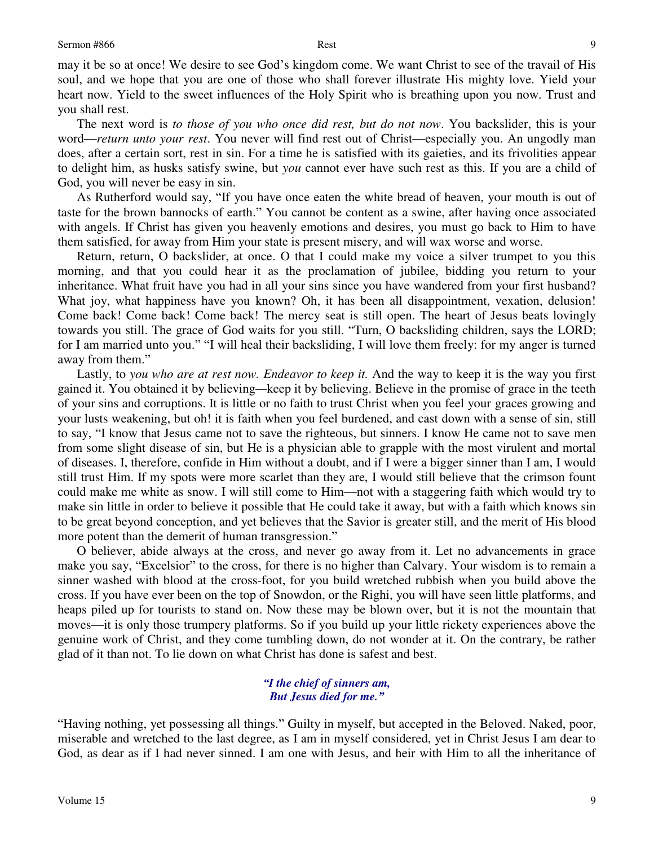may it be so at once! We desire to see God's kingdom come. We want Christ to see of the travail of His soul, and we hope that you are one of those who shall forever illustrate His mighty love. Yield your heart now. Yield to the sweet influences of the Holy Spirit who is breathing upon you now. Trust and you shall rest.

 The next word is *to those of you who once did rest, but do not now*. You backslider, this is your word—*return unto your rest*. You never will find rest out of Christ—especially you. An ungodly man does, after a certain sort, rest in sin. For a time he is satisfied with its gaieties, and its frivolities appear to delight him, as husks satisfy swine, but *you* cannot ever have such rest as this. If you are a child of God, you will never be easy in sin.

 As Rutherford would say, "If you have once eaten the white bread of heaven, your mouth is out of taste for the brown bannocks of earth." You cannot be content as a swine, after having once associated with angels. If Christ has given you heavenly emotions and desires, you must go back to Him to have them satisfied, for away from Him your state is present misery, and will wax worse and worse.

 Return, return, O backslider, at once. O that I could make my voice a silver trumpet to you this morning, and that you could hear it as the proclamation of jubilee, bidding you return to your inheritance. What fruit have you had in all your sins since you have wandered from your first husband? What joy, what happiness have you known? Oh, it has been all disappointment, vexation, delusion! Come back! Come back! Come back! The mercy seat is still open. The heart of Jesus beats lovingly towards you still. The grace of God waits for you still. "Turn, O backsliding children, says the LORD; for I am married unto you." "I will heal their backsliding, I will love them freely: for my anger is turned away from them."

 Lastly, to *you who are at rest now. Endeavor to keep it.* And the way to keep it is the way you first gained it. You obtained it by believing*—*keep it by believing. Believe in the promise of grace in the teeth of your sins and corruptions. It is little or no faith to trust Christ when you feel your graces growing and your lusts weakening, but oh! it is faith when you feel burdened, and cast down with a sense of sin, still to say, "I know that Jesus came not to save the righteous, but sinners. I know He came not to save men from some slight disease of sin, but He is a physician able to grapple with the most virulent and mortal of diseases. I, therefore, confide in Him without a doubt, and if I were a bigger sinner than I am, I would still trust Him. If my spots were more scarlet than they are, I would still believe that the crimson fount could make me white as snow. I will still come to Him—not with a staggering faith which would try to make sin little in order to believe it possible that He could take it away, but with a faith which knows sin to be great beyond conception, and yet believes that the Savior is greater still, and the merit of His blood more potent than the demerit of human transgression."

O believer, abide always at the cross, and never go away from it. Let no advancements in grace make you say, "Excelsior" to the cross, for there is no higher than Calvary. Your wisdom is to remain a sinner washed with blood at the cross*-*foot, for you build wretched rubbish when you build above the cross. If you have ever been on the top of Snowdon, or the Righi, you will have seen little platforms, and heaps piled up for tourists to stand on. Now these may be blown over, but it is not the mountain that moves—it is only those trumpery platforms. So if you build up your little rickety experiences above the genuine work of Christ, and they come tumbling down, do not wonder at it. On the contrary, be rather glad of it than not. To lie down on what Christ has done is safest and best.

### *"I the chief of sinners am, But Jesus died for me."*

"Having nothing, yet possessing all things." Guilty in myself, but accepted in the Beloved. Naked, poor, miserable and wretched to the last degree, as I am in myself considered, yet in Christ Jesus I am dear to God, as dear as if I had never sinned. I am one with Jesus, and heir with Him to all the inheritance of